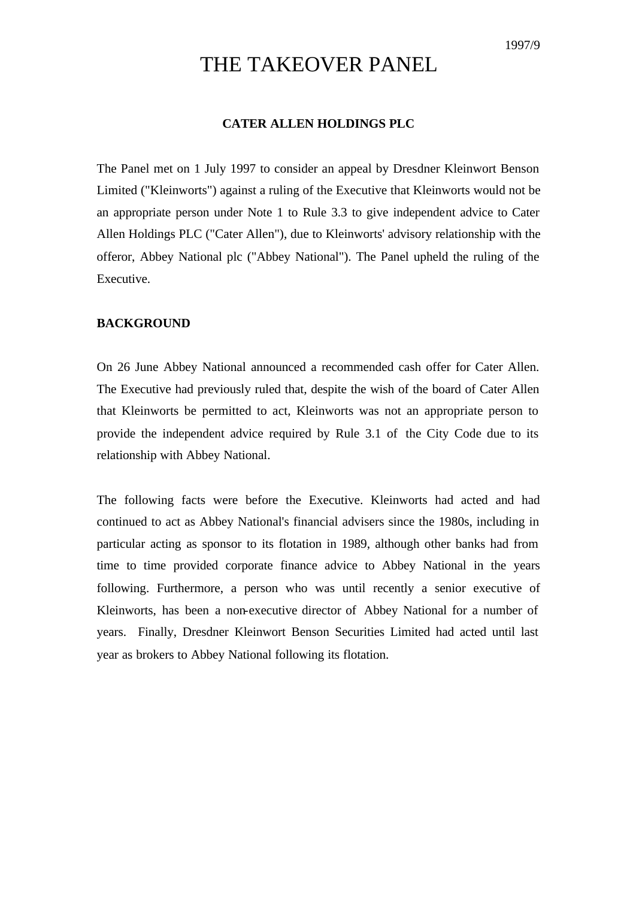# THE TAKEOVER PANEL

## **CATER ALLEN HOLDINGS PLC**

The Panel met on 1 July 1997 to consider an appeal by Dresdner Kleinwort Benson Limited ("Kleinworts") against a ruling of the Executive that Kleinworts would not be an appropriate person under Note 1 to Rule 3.3 to give independent advice to Cater Allen Holdings PLC ("Cater Allen"), due to Kleinworts' advisory relationship with the offeror, Abbey National plc ("Abbey National"). The Panel upheld the ruling of the Executive.

## **BACKGROUND**

On 26 June Abbey National announced a recommended cash offer for Cater Allen. The Executive had previously ruled that, despite the wish of the board of Cater Allen that Kleinworts be permitted to act, Kleinworts was not an appropriate person to provide the independent advice required by Rule 3.1 of the City Code due to its relationship with Abbey National.

The following facts were before the Executive. Kleinworts had acted and had continued to act as Abbey National's financial advisers since the 1980s, including in particular acting as sponsor to its flotation in 1989, although other banks had from time to time provided corporate finance advice to Abbey National in the years following. Furthermore, a person who was until recently a senior executive of Kleinworts, has been a non-executive director of Abbey National for a number of years. Finally, Dresdner Kleinwort Benson Securities Limited had acted until last year as brokers to Abbey National following its flotation.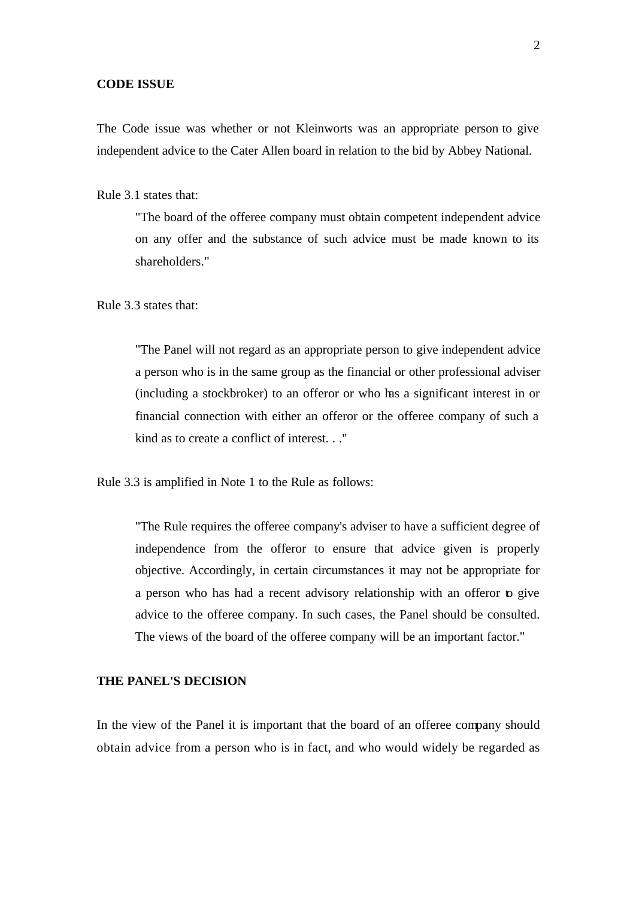#### **CODE ISSUE**

The Code issue was whether or not Kleinworts was an appropriate person to give independent advice to the Cater Allen board in relation to the bid by Abbey National.

Rule 3.1 states that:

"The board of the offeree company must obtain competent independent advice on any offer and the substance of such advice must be made known to its shareholders."

Rule 3.3 states that:

"The Panel will not regard as an appropriate person to give independent advice a person who is in the same group as the financial or other professional adviser (including a stockbroker) to an offeror or who has a significant interest in or financial connection with either an offeror or the offeree company of such a kind as to create a conflict of interest. . ."

Rule 3.3 is amplified in Note 1 to the Rule as follows:

"The Rule requires the offeree company's adviser to have a sufficient degree of independence from the offeror to ensure that advice given is properly objective. Accordingly, in certain circumstances it may not be appropriate for a person who has had a recent advisory relationship with an offeror to give advice to the offeree company. In such cases, the Panel should be consulted. The views of the board of the offeree company will be an important factor."

### **THE PANEL'S DECISION**

In the view of the Panel it is important that the board of an offeree company should obtain advice from a person who is in fact, and who would widely be regarded as